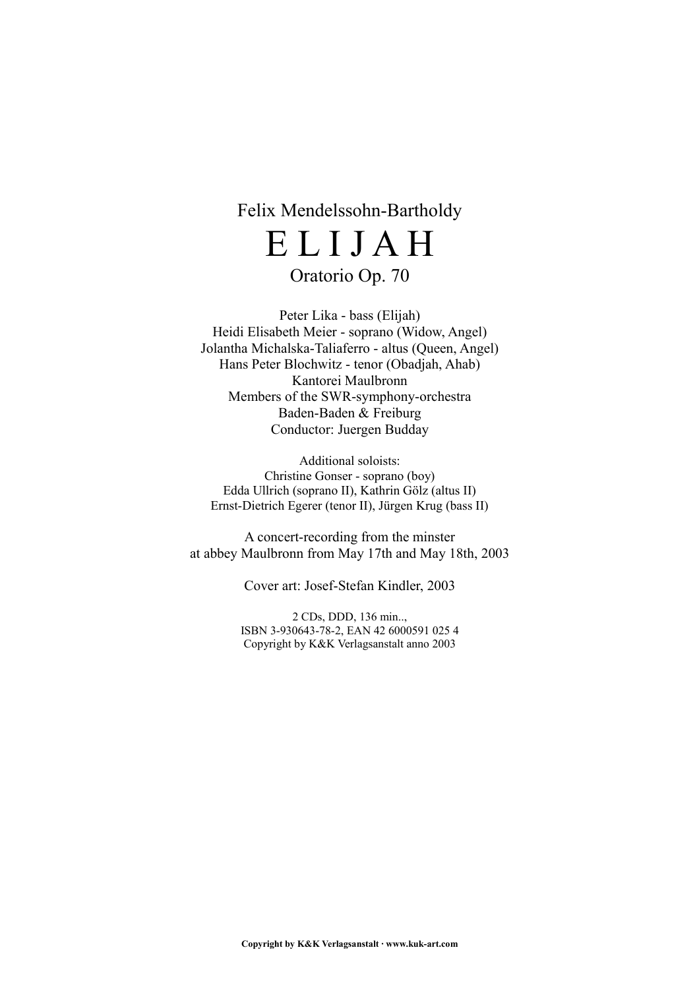# Felix Mendelssohn-Bartholdy E L I J A H

# Oratorio Op. 70

Peter Lika - bass (Elijah) Heidi Elisabeth Meier - soprano (Widow, Angel) Jolantha Michalska-Taliaferro - altus (Queen, Angel) Hans Peter Blochwitz - tenor (Obadjah, Ahab) Kantorei Maulbronn Members of the SWR-symphony-orchestra Baden-Baden & Freiburg Conductor: Juergen Budday

Additional soloists: Christine Gonser - soprano (boy) Edda Ullrich (soprano II), Kathrin Gölz (altus II) Ernst-Dietrich Egerer (tenor II), Jürgen Krug (bass II)

A concert-recording from the minster at abbey Maulbronn from May 17th and May 18th, 2003

Cover art: Josef-Stefan Kindler, 2003

2 CDs, DDD, 136 min.., ISBN 3-930643-78-2, EAN 42 6000591 025 4 Copyright by K&K Verlagsanstalt anno 2003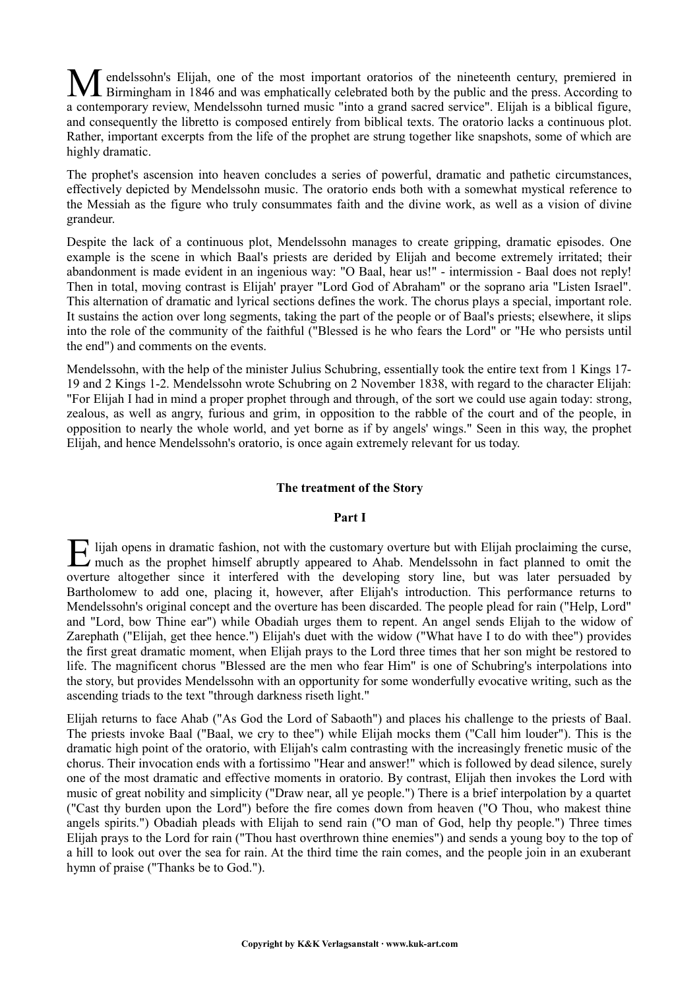endelssohn's Elijah, one of the most important oratorios of the nineteenth century, premiered in Birmingham in 1846 and was emphatically celebrated both by the public and the press. According to a contemporary review, Mendelssohn turned music "into a grand sacred service". Elijah is a biblical figure, and consequently the libretto is composed entirely from biblical texts. The oratorio lacks a continuous plot. Rather, important excerpts from the life of the prophet are strung together like snapshots, some of which are highly dramatic. M

The prophet's ascension into heaven concludes a series of powerful, dramatic and pathetic circumstances, effectively depicted by Mendelssohn music. The oratorio ends both with a somewhat mystical reference to the Messiah as the figure who truly consummates faith and the divine work, as well as a vision of divine grandeur.

Despite the lack of a continuous plot, Mendelssohn manages to create gripping, dramatic episodes. One example is the scene in which Baal's priests are derided by Elijah and become extremely irritated; their abandonment is made evident in an ingenious way: "O Baal, hear us!" - intermission - Baal does not reply! Then in total, moving contrast is Elijah' prayer "Lord God of Abraham" or the soprano aria "Listen Israel". This alternation of dramatic and lyrical sections defines the work. The chorus plays a special, important role. It sustains the action over long segments, taking the part of the people or of Baal's priests; elsewhere, it slips into the role of the community of the faithful ("Blessed is he who fears the Lord" or "He who persists until the end") and comments on the events.

Mendelssohn, with the help of the minister Julius Schubring, essentially took the entire text from 1 Kings 17- 19 and 2 Kings 1-2. Mendelssohn wrote Schubring on 2 November 1838, with regard to the character Elijah: "For Elijah I had in mind a proper prophet through and through, of the sort we could use again today: strong, zealous, as well as angry, furious and grim, in opposition to the rabble of the court and of the people, in opposition to nearly the whole world, and yet borne as if by angels' wings." Seen in this way, the prophet Elijah, and hence Mendelssohn's oratorio, is once again extremely relevant for us today.

# **The treatment of the Story**

# **Part I**

lijah opens in dramatic fashion, not with the customary overture but with Elijah proclaiming the curse, E lijah opens in dramatic fashion, not with the customary overture but with Elijah proclaiming the curse, much as the prophet himself abruptly appeared to Ahab. Mendelssohn in fact planned to omit the overture altogether since it interfered with the developing story line, but was later persuaded by Bartholomew to add one, placing it, however, after Elijah's introduction. This performance returns to Mendelssohn's original concept and the overture has been discarded. The people plead for rain ("Help, Lord" and "Lord, bow Thine ear") while Obadiah urges them to repent. An angel sends Elijah to the widow of Zarephath ("Elijah, get thee hence.") Elijah's duet with the widow ("What have I to do with thee") provides the first great dramatic moment, when Elijah prays to the Lord three times that her son might be restored to life. The magnificent chorus "Blessed are the men who fear Him" is one of Schubring's interpolations into the story, but provides Mendelssohn with an opportunity for some wonderfully evocative writing, such as the ascending triads to the text "through darkness riseth light."

Elijah returns to face Ahab ("As God the Lord of Sabaoth") and places his challenge to the priests of Baal. The priests invoke Baal ("Baal, we cry to thee") while Elijah mocks them ("Call him louder"). This is the dramatic high point of the oratorio, with Elijah's calm contrasting with the increasingly frenetic music of the chorus. Their invocation ends with a fortissimo "Hear and answer!" which is followed by dead silence, surely one of the most dramatic and effective moments in oratorio. By contrast, Elijah then invokes the Lord with music of great nobility and simplicity ("Draw near, all ye people.") There is a brief interpolation by a quartet ("Cast thy burden upon the Lord") before the fire comes down from heaven ("O Thou, who makest thine angels spirits.") Obadiah pleads with Elijah to send rain ("O man of God, help thy people.") Three times Elijah prays to the Lord for rain ("Thou hast overthrown thine enemies") and sends a young boy to the top of a hill to look out over the sea for rain. At the third time the rain comes, and the people join in an exuberant hymn of praise ("Thanks be to God.").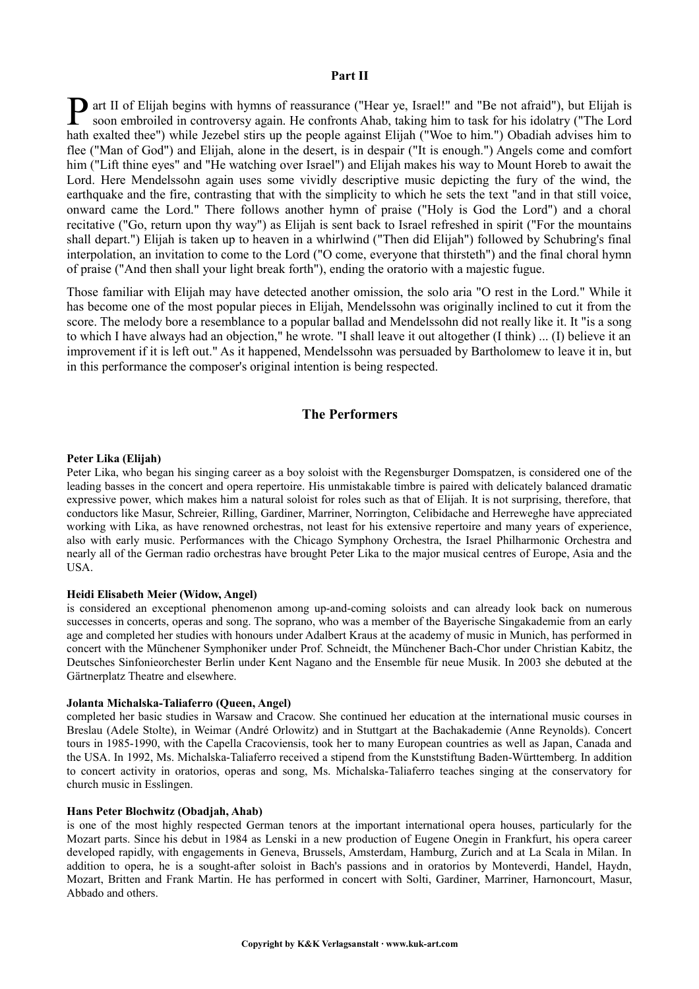# **Part II**

**P** art II of Elijah begins with hymns of reassurance ("Hear ye, Israel!" and "Be not afraid"), but Elijah is soon embroiled in controversy again. He confronts Ahab, taking him to task for his idolatry ("The Lord soon embroiled in controversy again. He confronts Ahab, taking him to task for his idolatry ("The Lord hath exalted thee") while Jezebel stirs up the people against Elijah ("Woe to him.") Obadiah advises him to flee ("Man of God") and Elijah, alone in the desert, is in despair ("It is enough.") Angels come and comfort him ("Lift thine eyes" and "He watching over Israel") and Elijah makes his way to Mount Horeb to await the Lord. Here Mendelssohn again uses some vividly descriptive music depicting the fury of the wind, the earthquake and the fire, contrasting that with the simplicity to which he sets the text "and in that still voice, onward came the Lord." There follows another hymn of praise ("Holy is God the Lord") and a choral recitative ("Go, return upon thy way") as Elijah is sent back to Israel refreshed in spirit ("For the mountains shall depart.") Elijah is taken up to heaven in a whirlwind ("Then did Elijah") followed by Schubring's final interpolation, an invitation to come to the Lord ("O come, everyone that thirsteth") and the final choral hymn of praise ("And then shall your light break forth"), ending the oratorio with a majestic fugue.

Those familiar with Elijah may have detected another omission, the solo aria "O rest in the Lord." While it has become one of the most popular pieces in Elijah, Mendelssohn was originally inclined to cut it from the score. The melody bore a resemblance to a popular ballad and Mendelssohn did not really like it. It "is a song to which I have always had an objection," he wrote. "I shall leave it out altogether (I think) ... (I) believe it an improvement if it is left out." As it happened, Mendelssohn was persuaded by Bartholomew to leave it in, but in this performance the composer's original intention is being respected.

# **The Performers**

#### **Peter Lika (Elijah)**

Peter Lika, who began his singing career as a boy soloist with the Regensburger Domspatzen, is considered one of the leading basses in the concert and opera repertoire. His unmistakable timbre is paired with delicately balanced dramatic expressive power, which makes him a natural soloist for roles such as that of Elijah. It is not surprising, therefore, that conductors like Masur, Schreier, Rilling, Gardiner, Marriner, Norrington, Celibidache and Herreweghe have appreciated working with Lika, as have renowned orchestras, not least for his extensive repertoire and many years of experience, also with early music. Performances with the Chicago Symphony Orchestra, the Israel Philharmonic Orchestra and nearly all of the German radio orchestras have brought Peter Lika to the major musical centres of Europe, Asia and the USA.

#### **Heidi Elisabeth Meier (Widow, Angel)**

is considered an exceptional phenomenon among up-and-coming soloists and can already look back on numerous successes in concerts, operas and song. The soprano, who was a member of the Bayerische Singakademie from an early age and completed her studies with honours under Adalbert Kraus at the academy of music in Munich, has performed in concert with the Münchener Symphoniker under Prof. Schneidt, the Münchener Bach-Chor under Christian Kabitz, the Deutsches Sinfonieorchester Berlin under Kent Nagano and the Ensemble für neue Musik. In 2003 she debuted at the Gärtnerplatz Theatre and elsewhere.

#### **Jolanta Michalska-Taliaferro (Queen, Angel)**

completed her basic studies in Warsaw and Cracow. She continued her education at the international music courses in Breslau (Adele Stolte), in Weimar (André Orlowitz) and in Stuttgart at the Bachakademie (Anne Reynolds). Concert tours in 1985-1990, with the Capella Cracoviensis, took her to many European countries as well as Japan, Canada and the USA. In 1992, Ms. Michalska-Taliaferro received a stipend from the Kunststiftung Baden-Württemberg. In addition to concert activity in oratorios, operas and song, Ms. Michalska-Taliaferro teaches singing at the conservatory for church music in Esslingen.

#### **Hans Peter Blochwitz (Obadjah, Ahab)**

is one of the most highly respected German tenors at the important international opera houses, particularly for the Mozart parts. Since his debut in 1984 as Lenski in a new production of Eugene Onegin in Frankfurt, his opera career developed rapidly, with engagements in Geneva, Brussels, Amsterdam, Hamburg, Zurich and at La Scala in Milan. In addition to opera, he is a sought-after soloist in Bach's passions and in oratorios by Monteverdi, Handel, Haydn, Mozart, Britten and Frank Martin. He has performed in concert with Solti, Gardiner, Marriner, Harnoncourt, Masur, Abbado and others.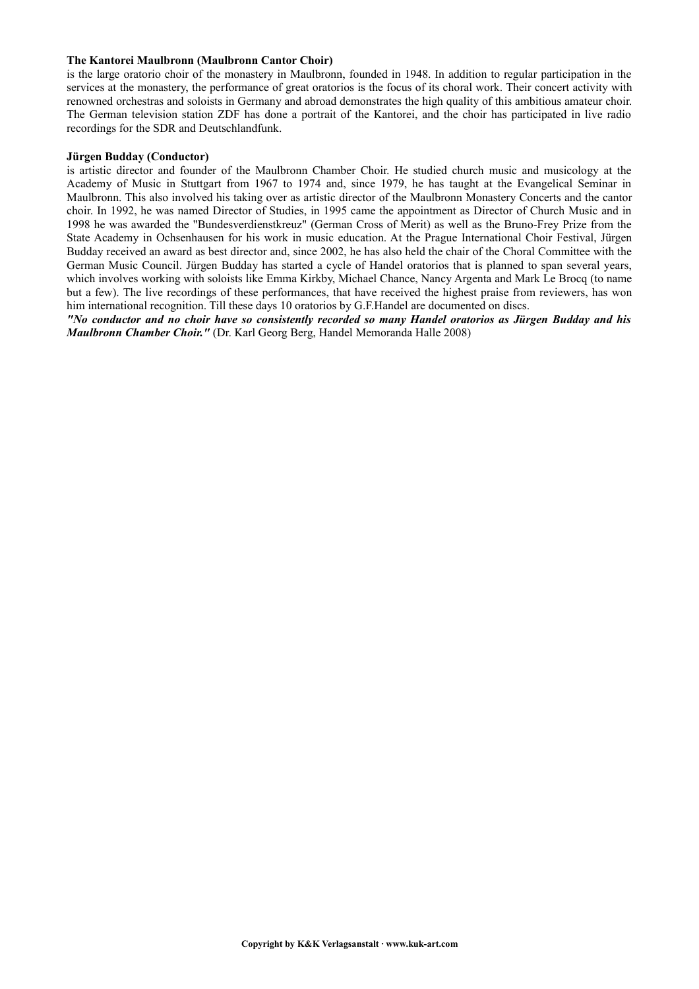# **The Kantorei Maulbronn (Maulbronn Cantor Choir)**

is the large oratorio choir of the monastery in Maulbronn, founded in 1948. In addition to regular participation in the services at the monastery, the performance of great oratorios is the focus of its choral work. Their concert activity with renowned orchestras and soloists in Germany and abroad demonstrates the high quality of this ambitious amateur choir. The German television station ZDF has done a portrait of the Kantorei, and the choir has participated in live radio recordings for the SDR and Deutschlandfunk.

#### **Jürgen Budday (Conductor)**

is artistic director and founder of the Maulbronn Chamber Choir. He studied church music and musicology at the Academy of Music in Stuttgart from 1967 to 1974 and, since 1979, he has taught at the Evangelical Seminar in Maulbronn. This also involved his taking over as artistic director of the Maulbronn Monastery Concerts and the cantor choir. In 1992, he was named Director of Studies, in 1995 came the appointment as Director of Church Music and in 1998 he was awarded the "Bundesverdienstkreuz" (German Cross of Merit) as well as the Bruno-Frey Prize from the State Academy in Ochsenhausen for his work in music education. At the Prague International Choir Festival, Jürgen Budday received an award as best director and, since 2002, he has also held the chair of the Choral Committee with the German Music Council. Jürgen Budday has started a cycle of Handel oratorios that is planned to span several years, which involves working with soloists like Emma Kirkby, Michael Chance, Nancy Argenta and Mark Le Brocq (to name but a few). The live recordings of these performances, that have received the highest praise from reviewers, has won him international recognition. Till these days 10 oratorios by G.F.Handel are documented on discs.

*"No conductor and no choir have so consistently recorded so many Handel oratorios as Jürgen Budday and his Maulbronn Chamber Choir."* (Dr. Karl Georg Berg, Handel Memoranda Halle 2008)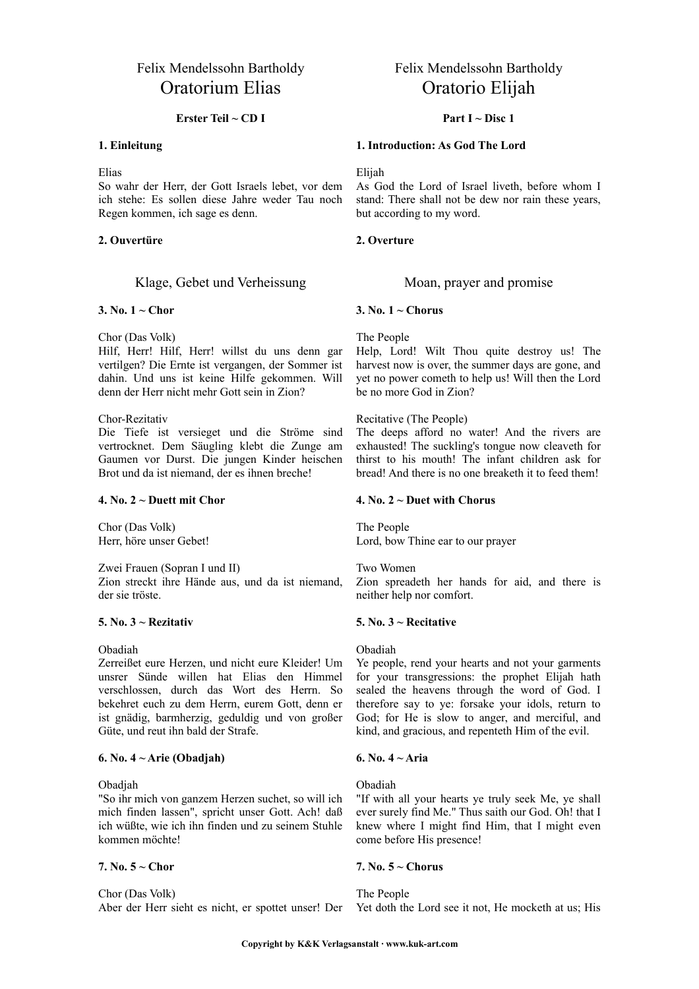# Felix Mendelssohn Bartholdy Oratorium Elias

### **Erster Teil ~ CD I**

#### **1. Einleitung**

Elias

So wahr der Herr, der Gott Israels lebet, vor dem ich stehe: Es sollen diese Jahre weder Tau noch Regen kommen, ich sage es denn.

#### **2. Ouvertüre**

# Klage, Gebet und Verheissung Moan, prayer and promise

#### **3. No. 1 ~ Chor**

Chor (Das Volk)

Hilf, Herr! Hilf, Herr! willst du uns denn gar vertilgen? Die Ernte ist vergangen, der Sommer ist dahin. Und uns ist keine Hilfe gekommen. Will denn der Herr nicht mehr Gott sein in Zion?

#### Chor-Rezitativ

Die Tiefe ist versieget und die Ströme sind vertrocknet. Dem Säugling klebt die Zunge am Gaumen vor Durst. Die jungen Kinder heischen Brot und da ist niemand, der es ihnen breche!

#### **4. No. 2 ~ Duett mit Chor**

Chor (Das Volk) Herr, höre unser Gebet!

Zwei Frauen (Sopran I und II) Zion streckt ihre Hände aus, und da ist niemand, der sie tröste.

#### **5. No. 3 ~ Rezitativ**

Obadiah

Zerreißet eure Herzen, und nicht eure Kleider! Um unsrer Sünde willen hat Elias den Himmel verschlossen, durch das Wort des Herrn. So bekehret euch zu dem Herrn, eurem Gott, denn er ist gnädig, barmherzig, geduldig und von großer Güte, und reut ihn bald der Strafe.

# **6. No. 4 ~ Arie (Obadjah)**

Obadjah

"So ihr mich von ganzem Herzen suchet, so will ich mich finden lassen", spricht unser Gott. Ach! daß ich wüßte, wie ich ihn finden und zu seinem Stuhle kommen möchte!

# **7. No. 5 ~ Chor**

Chor (Das Volk)

Aber der Herr sieht es nicht, er spottet unser! Der

# Felix Mendelssohn Bartholdy Oratorio Elijah

# **Part I ~ Disc 1**

#### **1. Introduction: As God The Lord**

Elijah

As God the Lord of Israel liveth, before whom I stand: There shall not be dew nor rain these years, but according to my word.

#### **2. Overture**

#### **3. No. 1 ~ Chorus**

The People

Help, Lord! Wilt Thou quite destroy us! The harvest now is over, the summer days are gone, and yet no power cometh to help us! Will then the Lord be no more God in Zion?

#### Recitative (The People)

The deeps afford no water! And the rivers are exhausted! The suckling's tongue now cleaveth for thirst to his mouth! The infant children ask for bread! And there is no one breaketh it to feed them!

#### **4. No. 2 ~ Duet with Chorus**

The People Lord, bow Thine ear to our prayer

Two Women

Zion spreadeth her hands for aid, and there is neither help nor comfort.

#### **5. No. 3 ~ Recitative**

Obadiah

Ye people, rend your hearts and not your garments for your transgressions: the prophet Elijah hath sealed the heavens through the word of God. I therefore say to ye: forsake your idols, return to God; for He is slow to anger, and merciful, and kind, and gracious, and repenteth Him of the evil.

# **6. No. 4 ~ Aria**

Obadiah

"If with all your hearts ye truly seek Me, ye shall ever surely find Me." Thus saith our God. Oh! that I knew where I might find Him, that I might even come before His presence!

#### **7. No. 5 ~ Chorus**

The People Yet doth the Lord see it not, He mocketh at us; His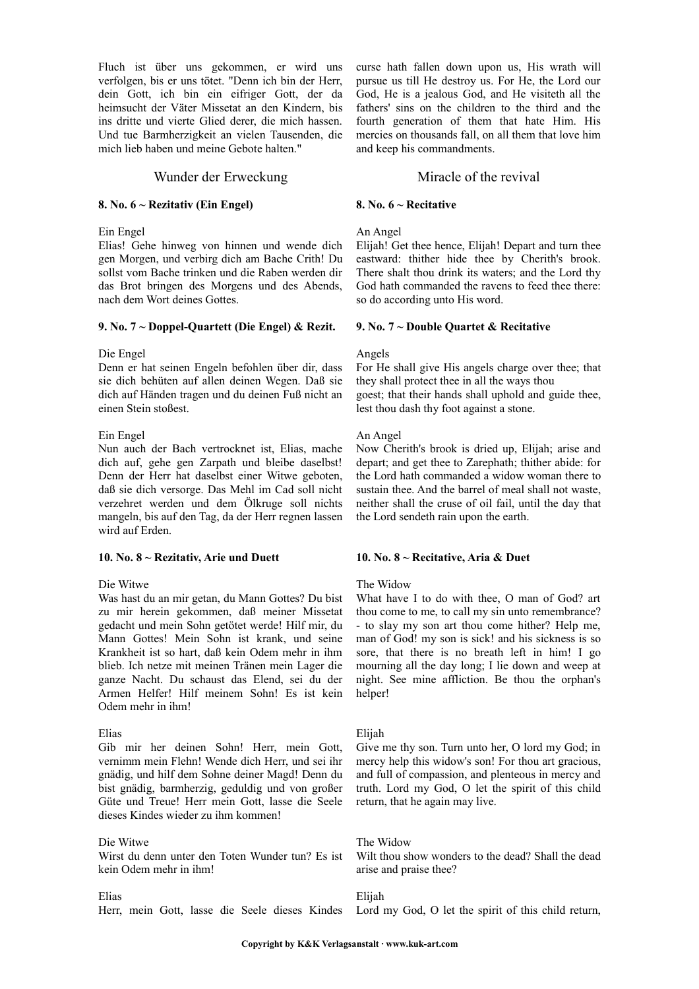Fluch ist über uns gekommen, er wird uns verfolgen, bis er uns tötet. "Denn ich bin der Herr, dein Gott, ich bin ein eifriger Gott, der da heimsucht der Väter Missetat an den Kindern, bis ins dritte und vierte Glied derer, die mich hassen. Und tue Barmherzigkeit an vielen Tausenden, die mich lieb haben und meine Gebote halten."

# Wunder der Erweckung Miracle of the revival

# **8. No. 6 ~ Rezitativ (Ein Engel)**

Ein Engel

Elias! Gehe hinweg von hinnen und wende dich gen Morgen, und verbirg dich am Bache Crith! Du sollst vom Bache trinken und die Raben werden dir das Brot bringen des Morgens und des Abends, nach dem Wort deines Gottes.

#### **9. No. 7 ~ Doppel-Quartett (Die Engel) & Rezit.**

#### Die Engel

Denn er hat seinen Engeln befohlen über dir, dass sie dich behüten auf allen deinen Wegen. Daß sie dich auf Händen tragen und du deinen Fuß nicht an einen Stein stoßest.

# Ein Engel

Nun auch der Bach vertrocknet ist, Elias, mache dich auf, gehe gen Zarpath und bleibe daselbst! Denn der Herr hat daselbst einer Witwe geboten, daß sie dich versorge. Das Mehl im Cad soll nicht verzehret werden und dem Ölkruge soll nichts mangeln, bis auf den Tag, da der Herr regnen lassen wird auf Erden.

# **10. No. 8 ~ Rezitativ, Arie und Duett**

# Die Witwe

Was hast du an mir getan, du Mann Gottes? Du bist zu mir herein gekommen, daß meiner Missetat gedacht und mein Sohn getötet werde! Hilf mir, du Mann Gottes! Mein Sohn ist krank, und seine Krankheit ist so hart, daß kein Odem mehr in ihm blieb. Ich netze mit meinen Tränen mein Lager die ganze Nacht. Du schaust das Elend, sei du der Armen Helfer! Hilf meinem Sohn! Es ist kein Odem mehr in ihm!

#### Elias

Gib mir her deinen Sohn! Herr, mein Gott, vernimm mein Flehn! Wende dich Herr, und sei ihr gnädig, und hilf dem Sohne deiner Magd! Denn du bist gnädig, barmherzig, geduldig und von großer Güte und Treue! Herr mein Gott, lasse die Seele dieses Kindes wieder zu ihm kommen!

# Die Witwe

Wirst du denn unter den Toten Wunder tun? Es ist kein Odem mehr in ihm!

#### Elias

Herr, mein Gott, lasse die Seele dieses Kindes

curse hath fallen down upon us, His wrath will pursue us till He destroy us. For He, the Lord our God, He is a jealous God, and He visiteth all the fathers' sins on the children to the third and the fourth generation of them that hate Him. His mercies on thousands fall, on all them that love him and keep his commandments.

#### **8. No. 6 ~ Recitative**

#### An Angel

Elijah! Get thee hence, Elijah! Depart and turn thee eastward: thither hide thee by Cherith's brook. There shalt thou drink its waters; and the Lord thy God hath commanded the ravens to feed thee there: so do according unto His word.

#### **9. No. 7 ~ Double Quartet & Recitative**

#### Angels

For He shall give His angels charge over thee; that they shall protect thee in all the ways thou goest; that their hands shall uphold and guide thee, lest thou dash thy foot against a stone.

# An Angel

Now Cherith's brook is dried up, Elijah; arise and depart; and get thee to Zarephath; thither abide: for the Lord hath commanded a widow woman there to sustain thee. And the barrel of meal shall not waste, neither shall the cruse of oil fail, until the day that the Lord sendeth rain upon the earth.

# **10. No. 8 ~ Recitative, Aria & Duet**

# The Widow

What have I to do with thee, O man of God? art thou come to me, to call my sin unto remembrance? - to slay my son art thou come hither? Help me, man of God! my son is sick! and his sickness is so sore, that there is no breath left in him! I go mourning all the day long; I lie down and weep at night. See mine affliction. Be thou the orphan's helper!

#### Elijah

Give me thy son. Turn unto her, O lord my God; in mercy help this widow's son! For thou art gracious, and full of compassion, and plenteous in mercy and truth. Lord my God, O let the spirit of this child return, that he again may live.

The Widow

Wilt thou show wonders to the dead? Shall the dead arise and praise thee?

Elijah

Lord my God, O let the spirit of this child return,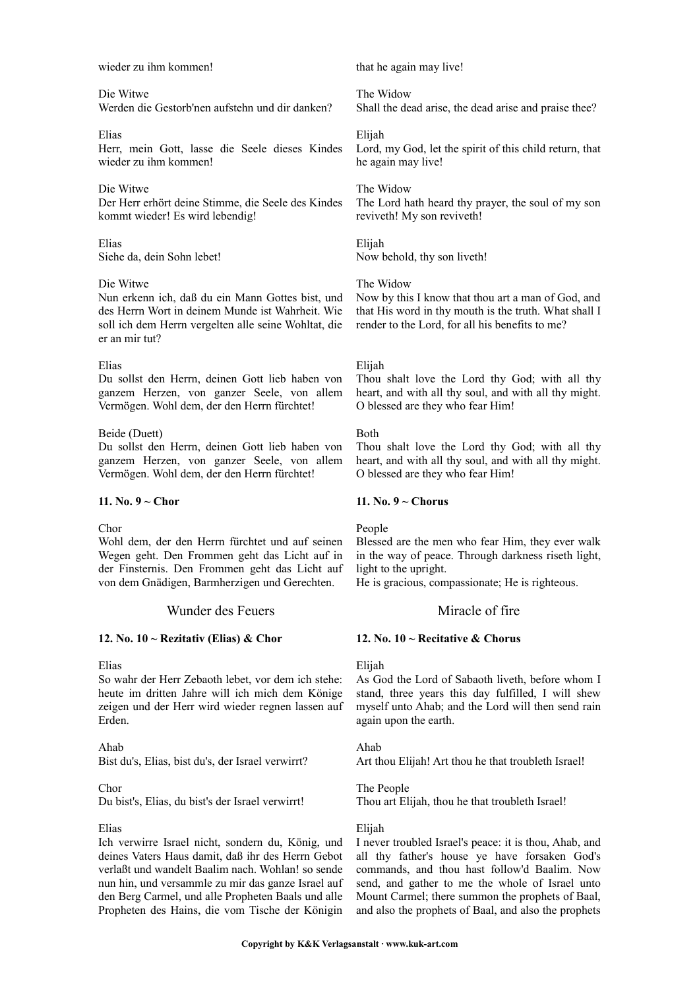wieder zu ihm kommen!

Die Witwe

Werden die Gestorb'nen aufstehn und dir danken?

Elias Herr, mein Gott, lasse die Seele dieses Kindes wieder zu ihm kommen!

# Die Witwe

Der Herr erhört deine Stimme, die Seele des Kindes kommt wieder! Es wird lebendig!

Elias Siehe da, dein Sohn lebet!

# Die Witwe

Nun erkenn ich, daß du ein Mann Gottes bist, und des Herrn Wort in deinem Munde ist Wahrheit. Wie soll ich dem Herrn vergelten alle seine Wohltat, die er an mir tut?

#### Elias

Du sollst den Herrn, deinen Gott lieb haben von ganzem Herzen, von ganzer Seele, von allem Vermögen. Wohl dem, der den Herrn fürchtet!

#### Beide (Duett)

Du sollst den Herrn, deinen Gott lieb haben von ganzem Herzen, von ganzer Seele, von allem Vermögen. Wohl dem, der den Herrn fürchtet!

#### **11. No. 9 ~ Chor**

Chor

Wohl dem, der den Herrn fürchtet und auf seinen Wegen geht. Den Frommen geht das Licht auf in der Finsternis. Den Frommen geht das Licht auf von dem Gnädigen, Barmherzigen und Gerechten.

# Wunder des Feuers Miracle of fire

# **12. No. 10 ~ Rezitativ (Elias) & Chor**

#### Elias

So wahr der Herr Zebaoth lebet, vor dem ich stehe: heute im dritten Jahre will ich mich dem Könige zeigen und der Herr wird wieder regnen lassen auf Erden.

# Ahab

Bist du's, Elias, bist du's, der Israel verwirrt?

# Chor

Du bist's, Elias, du bist's der Israel verwirrt!

# Elias

Ich verwirre Israel nicht, sondern du, König, und deines Vaters Haus damit, daß ihr des Herrn Gebot verlaßt und wandelt Baalim nach. Wohlan! so sende nun hin, und versammle zu mir das ganze Israel auf den Berg Carmel, und alle Propheten Baals und alle Propheten des Hains, die vom Tische der Königin

that he again may live!

The Widow Shall the dead arise, the dead arise and praise thee?

Elijah Lord, my God, let the spirit of this child return, that he again may live!

#### The Widow

The Lord hath heard thy prayer, the soul of my son reviveth! My son reviveth!

Elijah Now behold, thy son liveth!

#### The Widow

Now by this I know that thou art a man of God, and that His word in thy mouth is the truth. What shall I render to the Lord, for all his benefits to me?

#### Elijah

Thou shalt love the Lord thy God; with all thy heart, and with all thy soul, and with all thy might. O blessed are they who fear Him!

#### Both

Thou shalt love the Lord thy God; with all thy heart, and with all thy soul, and with all thy might. O blessed are they who fear Him!

# **11. No. 9 ~ Chorus**

# People

Blessed are the men who fear Him, they ever walk in the way of peace. Through darkness riseth light, light to the upright.

He is gracious, compassionate; He is righteous.

#### **12. No. 10 ~ Recitative & Chorus**

#### Elijah

As God the Lord of Sabaoth liveth, before whom I stand, three years this day fulfilled, I will shew myself unto Ahab; and the Lord will then send rain again upon the earth.

Ahab

Art thou Elijah! Art thou he that troubleth Israel!

The People Thou art Elijah, thou he that troubleth Israel!

# Elijah

I never troubled Israel's peace: it is thou, Ahab, and all thy father's house ye have forsaken God's commands, and thou hast follow'd Baalim. Now send, and gather to me the whole of Israel unto Mount Carmel; there summon the prophets of Baal, and also the prophets of Baal, and also the prophets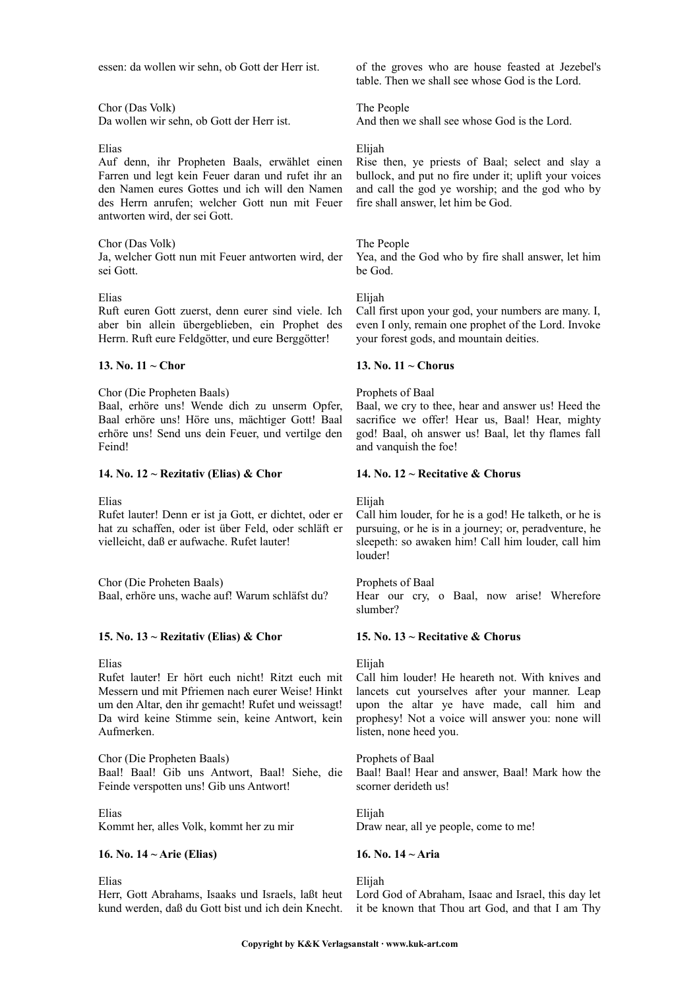essen: da wollen wir sehn, ob Gott der Herr ist.

Chor (Das Volk) Da wollen wir sehn, ob Gott der Herr ist.

#### Elias

Auf denn, ihr Propheten Baals, erwählet einen Farren und legt kein Feuer daran und rufet ihr an den Namen eures Gottes und ich will den Namen des Herrn anrufen; welcher Gott nun mit Feuer antworten wird, der sei Gott.

# Chor (Das Volk)

Ja, welcher Gott nun mit Feuer antworten wird, der sei Gott.

#### Elias

Ruft euren Gott zuerst, denn eurer sind viele. Ich aber bin allein übergeblieben, ein Prophet des Herrn. Ruft eure Feldgötter, und eure Berggötter!

#### **13. No. 11 ~ Chor**

Chor (Die Propheten Baals)

Baal, erhöre uns! Wende dich zu unserm Opfer, Baal erhöre uns! Höre uns, mächtiger Gott! Baal erhöre uns! Send uns dein Feuer, und vertilge den Feind!

#### **14. No. 12 ~ Rezitativ (Elias) & Chor**

Elias

Rufet lauter! Denn er ist ja Gott, er dichtet, oder er hat zu schaffen, oder ist über Feld, oder schläft er vielleicht, daß er aufwache. Rufet lauter!

Chor (Die Proheten Baals) Baal, erhöre uns, wache auf! Warum schläfst du?

# **15. No. 13 ~ Rezitativ (Elias) & Chor**

Elias

Rufet lauter! Er hört euch nicht! Ritzt euch mit Messern und mit Pfriemen nach eurer Weise! Hinkt um den Altar, den ihr gemacht! Rufet und weissagt! Da wird keine Stimme sein, keine Antwort, kein Aufmerken.

Chor (Die Propheten Baals) Baal! Baal! Gib uns Antwort, Baal! Siehe, die Feinde verspotten uns! Gib uns Antwort!

Elias Kommt her, alles Volk, kommt her zu mir

# **16. No. 14 ~ Arie (Elias)**

Elias

Herr, Gott Abrahams, Isaaks und Israels, laßt heut Lord God of Abraham, Isaac and Israel, this day let kund werden, daß du Gott bist und ich dein Knecht. it be known that Thou art God, and that I am Thy

of the groves who are house feasted at Jezebel's table. Then we shall see whose God is the Lord.

The People And then we shall see whose God is the Lord.

## Elijah

Rise then, ye priests of Baal; select and slay a bullock, and put no fire under it; uplift your voices and call the god ye worship; and the god who by fire shall answer, let him be God.

#### The People

Yea, and the God who by fire shall answer, let him be God.

#### Elijah

Call first upon your god, your numbers are many. I, even I only, remain one prophet of the Lord. Invoke your forest gods, and mountain deities.

#### **13. No. 11 ~ Chorus**

#### Prophets of Baal

Baal, we cry to thee, hear and answer us! Heed the sacrifice we offer! Hear us, Baal! Hear, mighty god! Baal, oh answer us! Baal, let thy flames fall and vanquish the foe!

#### **14. No. 12 ~ Recitative & Chorus**

Elijah

Call him louder, for he is a god! He talketh, or he is pursuing, or he is in a journey; or, peradventure, he sleepeth: so awaken him! Call him louder, call him louder!

Prophets of Baal Hear our cry, o Baal, now arise! Wherefore slumber?

#### **15. No. 13 ~ Recitative & Chorus**

Elijah

Call him louder! He heareth not. With knives and lancets cut yourselves after your manner. Leap upon the altar ye have made, call him and prophesy! Not a voice will answer you: none will listen, none heed you.

Prophets of Baal Baal! Baal! Hear and answer, Baal! Mark how the scorner derideth us!

Elijah Draw near, all ye people, come to me!

# **16. No. 14 ~ Aria**

Elijah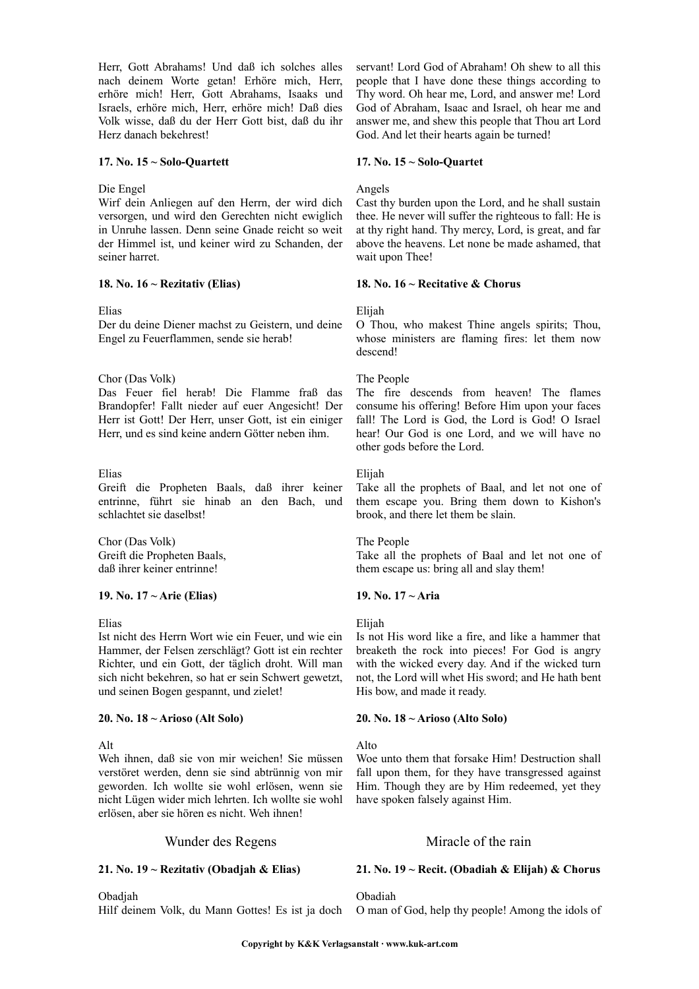Herr, Gott Abrahams! Und daß ich solches alles nach deinem Worte getan! Erhöre mich, Herr, erhöre mich! Herr, Gott Abrahams, Isaaks und Israels, erhöre mich, Herr, erhöre mich! Daß dies Volk wisse, daß du der Herr Gott bist, daß du ihr Herz danach bekehrest!

#### **17. No. 15 ~ Solo-Quartett**

#### Die Engel

Wirf dein Anliegen auf den Herrn, der wird dich versorgen, und wird den Gerechten nicht ewiglich in Unruhe lassen. Denn seine Gnade reicht so weit der Himmel ist, und keiner wird zu Schanden, der seiner harret.

#### **18. No. 16 ~ Rezitativ (Elias)**

#### Elias

Der du deine Diener machst zu Geistern, und deine Engel zu Feuerflammen, sende sie herab!

#### Chor (Das Volk)

Das Feuer fiel herab! Die Flamme fraß das Brandopfer! Fallt nieder auf euer Angesicht! Der Herr ist Gott! Der Herr, unser Gott, ist ein einiger Herr, und es sind keine andern Götter neben ihm.

# Elias

Greift die Propheten Baals, daß ihrer keiner entrinne, führt sie hinab an den Bach, und schlachtet sie daselbst!

Chor (Das Volk) Greift die Propheten Baals, daß ihrer keiner entrinne!

# **19. No. 17 ~ Arie (Elias)**

#### Elias

Ist nicht des Herrn Wort wie ein Feuer, und wie ein Hammer, der Felsen zerschlägt? Gott ist ein rechter Richter, und ein Gott, der täglich droht. Will man sich nicht bekehren, so hat er sein Schwert gewetzt, und seinen Bogen gespannt, und zielet!

# **20. No. 18 ~ Arioso (Alt Solo)**

# Alt

Weh ihnen, daß sie von mir weichen! Sie müssen verstöret werden, denn sie sind abtrünnig von mir geworden. Ich wollte sie wohl erlösen, wenn sie nicht Lügen wider mich lehrten. Ich wollte sie wohl erlösen, aber sie hören es nicht. Weh ihnen!

# Wunder des Regens Miracle of the rain

# **21. No. 19 ~ Rezitativ (Obadjah & Elias)**

Obadjah

Hilf deinem Volk, du Mann Gottes! Es ist ja doch

servant! Lord God of Abraham! Oh shew to all this people that I have done these things according to Thy word. Oh hear me, Lord, and answer me! Lord God of Abraham, Isaac and Israel, oh hear me and answer me, and shew this people that Thou art Lord God. And let their hearts again be turned!

#### **17. No. 15 ~ Solo-Quartet**

## Angels

Cast thy burden upon the Lord, and he shall sustain thee. He never will suffer the righteous to fall: He is at thy right hand. Thy mercy, Lord, is great, and far above the heavens. Let none be made ashamed, that wait upon Thee!

#### **18. No. 16 ~ Recitative & Chorus**

#### Elijah

O Thou, who makest Thine angels spirits; Thou, whose ministers are flaming fires: let them now descend!

# The People

The fire descends from heaven! The flames consume his offering! Before Him upon your faces fall! The Lord is God, the Lord is God! O Israel hear! Our God is one Lord, and we will have no other gods before the Lord.

# Elijah

Take all the prophets of Baal, and let not one of them escape you. Bring them down to Kishon's brook, and there let them be slain.

#### The People

Take all the prophets of Baal and let not one of them escape us: bring all and slay them!

# **19. No. 17 ~ Aria**

# Elijah

Is not His word like a fire, and like a hammer that breaketh the rock into pieces! For God is angry with the wicked every day. And if the wicked turn not, the Lord will whet His sword; and He hath bent His bow, and made it ready.

#### **20. No. 18 ~ Arioso (Alto Solo)**

# Alto

Woe unto them that forsake Him! Destruction shall fall upon them, for they have transgressed against Him. Though they are by Him redeemed, yet they have spoken falsely against Him.

# **21. No. 19 ~ Recit. (Obadiah & Elijah) & Chorus**

Obadiah

O man of God, help thy people! Among the idols of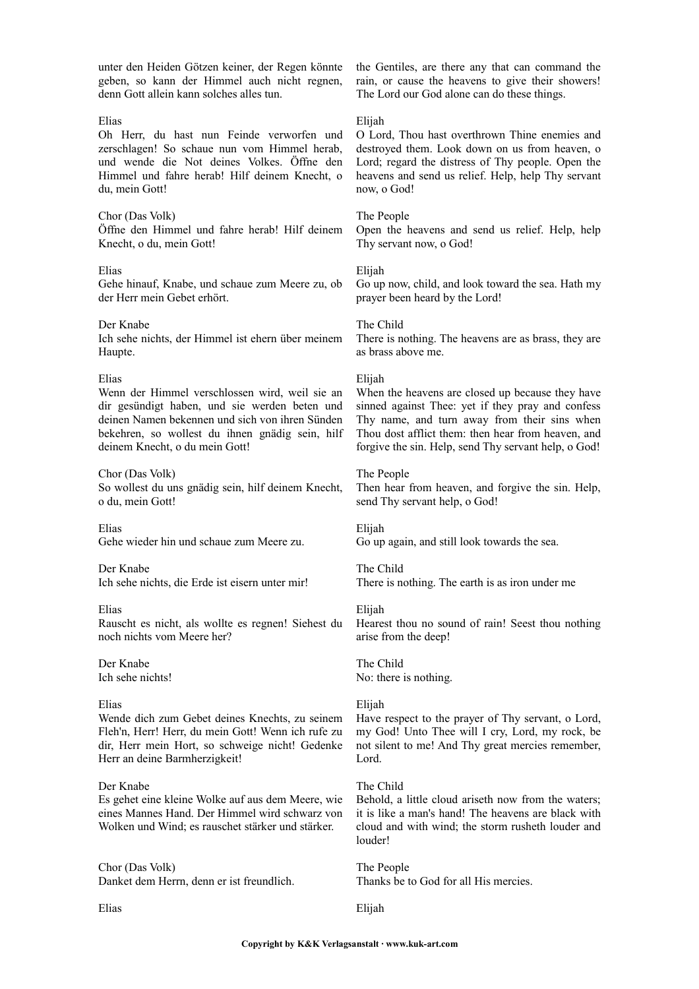unter den Heiden Götzen keiner, der Regen könnte geben, so kann der Himmel auch nicht regnen, denn Gott allein kann solches alles tun.

#### Elias

Oh Herr, du hast nun Feinde verworfen und zerschlagen! So schaue nun vom Himmel herab, und wende die Not deines Volkes. Öffne den Himmel und fahre herab! Hilf deinem Knecht, o du, mein Gott!

#### Chor (Das Volk)

Öffne den Himmel und fahre herab! Hilf deinem Knecht, o du, mein Gott!

#### Elias

Gehe hinauf, Knabe, und schaue zum Meere zu, ob der Herr mein Gebet erhört.

Der Knabe Ich sehe nichts, der Himmel ist ehern über meinem Haupte.

#### Elias

Wenn der Himmel verschlossen wird, weil sie an dir gesündigt haben, und sie werden beten und deinen Namen bekennen und sich von ihren Sünden bekehren, so wollest du ihnen gnädig sein, hilf deinem Knecht, o du mein Gott!

Chor (Das Volk) So wollest du uns gnädig sein, hilf deinem Knecht, o du, mein Gott!

Elias Gehe wieder hin und schaue zum Meere zu.

# Der Knabe

Ich sehe nichts, die Erde ist eisern unter mir!

#### Elias

Rauscht es nicht, als wollte es regnen! Siehest du noch nichts vom Meere her?

Der Knabe Ich sehe nichts!

# Elias

Wende dich zum Gebet deines Knechts, zu seinem Fleh'n, Herr! Herr, du mein Gott! Wenn ich rufe zu dir, Herr mein Hort, so schweige nicht! Gedenke Herr an deine Barmherzigkeit!

# Der Knabe

Es gehet eine kleine Wolke auf aus dem Meere, wie eines Mannes Hand. Der Himmel wird schwarz von Wolken und Wind; es rauschet stärker und stärker.

Chor (Das Volk) Danket dem Herrn, denn er ist freundlich.

Elias

the Gentiles, are there any that can command the rain, or cause the heavens to give their showers! The Lord our God alone can do these things.

#### Elijah

O Lord, Thou hast overthrown Thine enemies and destroyed them. Look down on us from heaven, o Lord; regard the distress of Thy people. Open the heavens and send us relief. Help, help Thy servant now, o God!

#### The People

Open the heavens and send us relief. Help, help Thy servant now, o God!

#### Elijah

Go up now, child, and look toward the sea. Hath my prayer been heard by the Lord!

#### The Child

There is nothing. The heavens are as brass, they are as brass above me.

#### Elijah

When the heavens are closed up because they have sinned against Thee: yet if they pray and confess Thy name, and turn away from their sins when Thou dost afflict them: then hear from heaven, and forgive the sin. Help, send Thy servant help, o God!

#### The People

Then hear from heaven, and forgive the sin. Help, send Thy servant help, o God!

Elijah Go up again, and still look towards the sea.

The Child There is nothing. The earth is as iron under me

#### Elijah

Hearest thou no sound of rain! Seest thou nothing arise from the deep!

The Child No: there is nothing.

#### Elijah

Have respect to the prayer of Thy servant, o Lord, my God! Unto Thee will I cry, Lord, my rock, be not silent to me! And Thy great mercies remember, Lord.

# The Child

Behold, a little cloud ariseth now from the waters; it is like a man's hand! The heavens are black with cloud and with wind; the storm rusheth louder and louder!

The People Thanks be to God for all His mercies.

Elijah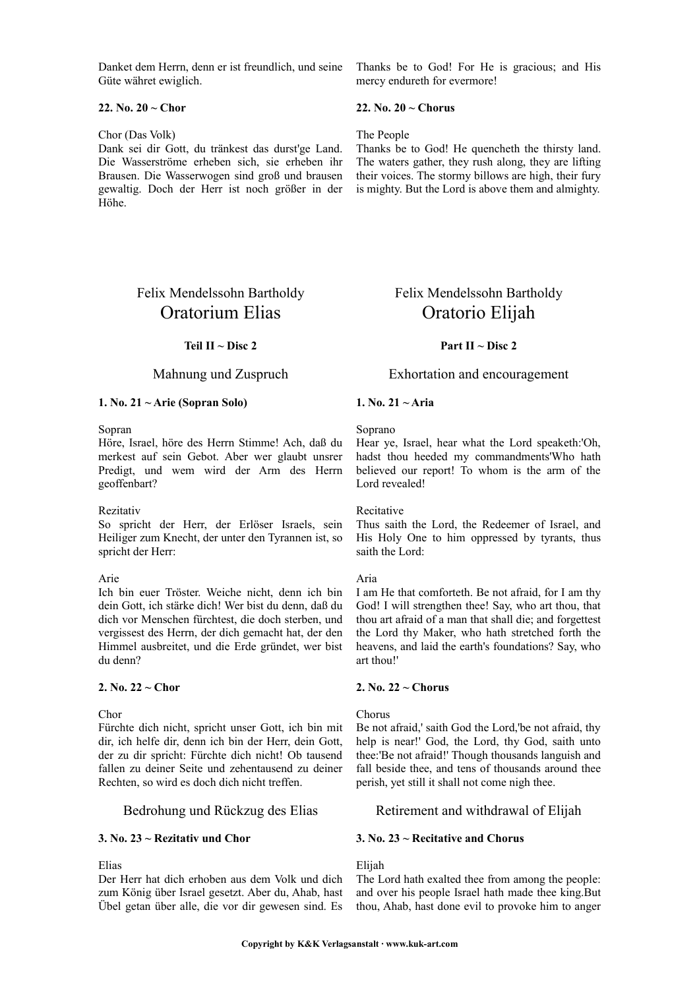Danket dem Herrn, denn er ist freundlich, und seine Güte währet ewiglich.

# **22. No. 20 ~ Chor**

#### Chor (Das Volk)

Dank sei dir Gott, du tränkest das durst'ge Land. Die Wasserströme erheben sich, sie erheben ihr Brausen. Die Wasserwogen sind groß und brausen gewaltig. Doch der Herr ist noch größer in der Höhe.

# Felix Mendelssohn Bartholdy Oratorium Elias

# **Teil II ~ Disc 2**

#### **1. No. 21 ~ Arie (Sopran Solo)**

# Sopran

Höre, Israel, höre des Herrn Stimme! Ach, daß du merkest auf sein Gebot. Aber wer glaubt unsrer Predigt, und wem wird der Arm des Herrn geoffenbart?

#### Rezitativ

So spricht der Herr, der Erlöser Israels, sein Heiliger zum Knecht, der unter den Tyrannen ist, so spricht der Herr:

# Arie

Ich bin euer Tröster. Weiche nicht, denn ich bin dein Gott, ich stärke dich! Wer bist du denn, daß du dich vor Menschen fürchtest, die doch sterben, und vergissest des Herrn, der dich gemacht hat, der den Himmel ausbreitet, und die Erde gründet, wer bist du denn?

#### **2. No. 22 ~ Chor**

Chor

Fürchte dich nicht, spricht unser Gott, ich bin mit dir, ich helfe dir, denn ich bin der Herr, dein Gott, der zu dir spricht: Fürchte dich nicht! Ob tausend fallen zu deiner Seite und zehentausend zu deiner Rechten, so wird es doch dich nicht treffen.

# **3. No. 23 ~ Rezitativ und Chor**

Elias

Der Herr hat dich erhoben aus dem Volk und dich zum König über Israel gesetzt. Aber du, Ahab, hast Übel getan über alle, die vor dir gewesen sind. Es Thanks be to God! For He is gracious; and His mercy endureth for evermore!

## **22. No. 20 ~ Chorus**

## The People

Thanks be to God! He quencheth the thirsty land. The waters gather, they rush along, they are lifting their voices. The stormy billows are high, their fury is mighty. But the Lord is above them and almighty.

# Felix Mendelssohn Bartholdy Oratorio Elijah

# **Part II ~ Disc 2**

# Mahnung und Zuspruch Exhortation and encouragement

#### **1. No. 21 ~ Aria**

#### Soprano

Hear ye, Israel, hear what the Lord speaketh:'Oh, hadst thou heeded my commandments'Who hath believed our report! To whom is the arm of the Lord revealed!

Recitative

Thus saith the Lord, the Redeemer of Israel, and His Holy One to him oppressed by tyrants, thus saith the Lord:

#### Aria

I am He that comforteth. Be not afraid, for I am thy God! I will strengthen thee! Say, who art thou, that thou art afraid of a man that shall die; and forgettest the Lord thy Maker, who hath stretched forth the heavens, and laid the earth's foundations? Say, who art thou!'

# **2. No. 22 ~ Chorus**

#### Chorus

Be not afraid,' saith God the Lord,'be not afraid, thy help is near!' God, the Lord, thy God, saith unto thee:'Be not afraid!' Though thousands languish and fall beside thee, and tens of thousands around thee perish, yet still it shall not come nigh thee.

# Bedrohung und Rückzug des Elias Retirement and withdrawal of Elijah

#### **3. No. 23 ~ Recitative and Chorus**

# Elijah

The Lord hath exalted thee from among the people: and over his people Israel hath made thee king.But thou, Ahab, hast done evil to provoke him to anger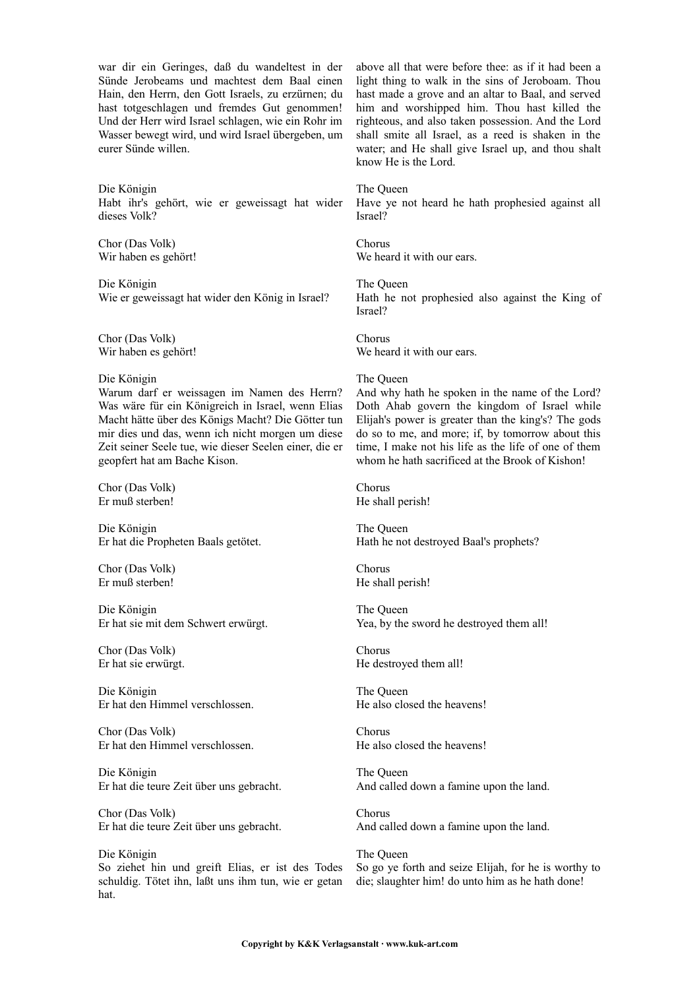war dir ein Geringes, daß du wandeltest in der Sünde Jerobeams und machtest dem Baal einen Hain, den Herrn, den Gott Israels, zu erzürnen; du hast totgeschlagen und fremdes Gut genommen! Und der Herr wird Israel schlagen, wie ein Rohr im Wasser bewegt wird, und wird Israel übergeben, um eurer Sünde willen.

Die Königin Habt ihr's gehört, wie er geweissagt hat wider dieses Volk?

Chor (Das Volk) Wir haben es gehört!

Die Königin Wie er geweissagt hat wider den König in Israel?

Chor (Das Volk) Wir haben es gehört!

#### Die Königin

Warum darf er weissagen im Namen des Herrn? Was wäre für ein Königreich in Israel, wenn Elias Macht hätte über des Königs Macht? Die Götter tun mir dies und das, wenn ich nicht morgen um diese Zeit seiner Seele tue, wie dieser Seelen einer, die er geopfert hat am Bache Kison.

Chor (Das Volk) Er muß sterben!

Die Königin Er hat die Propheten Baals getötet.

Chor (Das Volk) Er muß sterben!

Die Königin Er hat sie mit dem Schwert erwürgt.

Chor (Das Volk) Er hat sie erwürgt.

Die Königin Er hat den Himmel verschlossen.

Chor (Das Volk) Er hat den Himmel verschlossen.

Die Königin Er hat die teure Zeit über uns gebracht.

Chor (Das Volk) Er hat die teure Zeit über uns gebracht.

Die Königin So ziehet hin und greift Elias, er ist des Todes schuldig. Tötet ihn, laßt uns ihm tun, wie er getan hat.

above all that were before thee: as if it had been a light thing to walk in the sins of Jeroboam. Thou hast made a grove and an altar to Baal, and served him and worshipped him. Thou hast killed the righteous, and also taken possession. And the Lord shall smite all Israel, as a reed is shaken in the water; and He shall give Israel up, and thou shalt know He is the Lord.

#### The Queen

Have ye not heard he hath prophesied against all Israel?

Chorus We heard it with our ears.

The Queen Hath he not prophesied also against the King of Israel?

Chorus We heard it with our ears.

#### The Queen

And why hath he spoken in the name of the Lord? Doth Ahab govern the kingdom of Israel while Elijah's power is greater than the king's? The gods do so to me, and more; if, by tomorrow about this time, I make not his life as the life of one of them whom he hath sacrificed at the Brook of Kishon!

Chorus He shall perish!

The Queen Hath he not destroyed Baal's prophets?

Chorus He shall perish!

The Queen Yea, by the sword he destroyed them all!

Chorus He destroyed them all!

The Queen He also closed the heavens!

Chorus He also closed the heavens!

The Queen And called down a famine upon the land.

Chorus And called down a famine upon the land.

The Queen So go ye forth and seize Elijah, for he is worthy to die; slaughter him! do unto him as he hath done!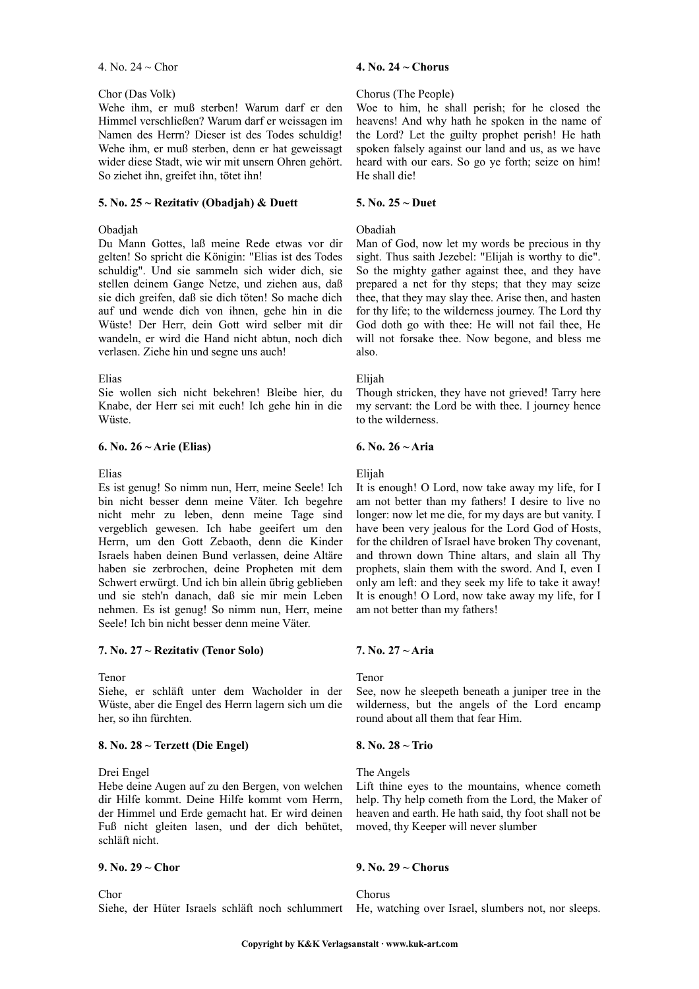#### 4. No. 24 ~ Chor

#### Chor (Das Volk)

Wehe ihm, er muß sterben! Warum darf er den Himmel verschließen? Warum darf er weissagen im Namen des Herrn? Dieser ist des Todes schuldig! Wehe ihm, er muß sterben, denn er hat geweissagt wider diese Stadt, wie wir mit unsern Ohren gehört. So ziehet ihn, greifet ihn, tötet ihn!

# **5. No. 25 ~ Rezitativ (Obadjah) & Duett**

## Obadjah

Du Mann Gottes, laß meine Rede etwas vor dir gelten! So spricht die Königin: "Elias ist des Todes schuldig". Und sie sammeln sich wider dich, sie stellen deinem Gange Netze, und ziehen aus, daß sie dich greifen, daß sie dich töten! So mache dich auf und wende dich von ihnen, gehe hin in die Wüste! Der Herr, dein Gott wird selber mit dir wandeln, er wird die Hand nicht abtun, noch dich verlasen. Ziehe hin und segne uns auch!

#### Elias

Sie wollen sich nicht bekehren! Bleibe hier, du Knabe, der Herr sei mit euch! Ich gehe hin in die Wüste.

#### **6. No. 26 ~ Arie (Elias)**

#### Elias

Es ist genug! So nimm nun, Herr, meine Seele! Ich bin nicht besser denn meine Väter. Ich begehre nicht mehr zu leben, denn meine Tage sind vergeblich gewesen. Ich habe geeifert um den Herrn, um den Gott Zebaoth, denn die Kinder Israels haben deinen Bund verlassen, deine Altäre haben sie zerbrochen, deine Propheten mit dem Schwert erwürgt. Und ich bin allein übrig geblieben und sie steh'n danach, daß sie mir mein Leben nehmen. Es ist genug! So nimm nun, Herr, meine Seele! Ich bin nicht besser denn meine Väter.

# **7. No. 27 ~ Rezitativ (Tenor Solo)**

#### Tenor

Siehe, er schläft unter dem Wacholder in der Wüste, aber die Engel des Herrn lagern sich um die her, so ihn fürchten.

# **8. No. 28 ~ Terzett (Die Engel)**

#### Drei Engel

Hebe deine Augen auf zu den Bergen, von welchen dir Hilfe kommt. Deine Hilfe kommt vom Herrn, der Himmel und Erde gemacht hat. Er wird deinen Fuß nicht gleiten lasen, und der dich behütet, schläft nicht.

#### **9. No. 29 ~ Chor**

Chor

#### **4. No. 24 ~ Chorus**

#### Chorus (The People)

Woe to him, he shall perish; for he closed the heavens! And why hath he spoken in the name of the Lord? Let the guilty prophet perish! He hath spoken falsely against our land and us, as we have heard with our ears. So go ye forth; seize on him! He shall die!

## **5. No. 25 ~ Duet**

## Obadiah

Man of God, now let my words be precious in thy sight. Thus saith Jezebel: "Elijah is worthy to die". So the mighty gather against thee, and they have prepared a net for thy steps; that they may seize thee, that they may slay thee. Arise then, and hasten for thy life; to the wilderness journey. The Lord thy God doth go with thee: He will not fail thee, He will not forsake thee. Now begone, and bless me also.

# Elijah

Though stricken, they have not grieved! Tarry here my servant: the Lord be with thee. I journey hence to the wilderness.

# **6. No. 26 ~ Aria**

#### Elijah

It is enough! O Lord, now take away my life, for I am not better than my fathers! I desire to live no longer: now let me die, for my days are but vanity. I have been very jealous for the Lord God of Hosts, for the children of Israel have broken Thy covenant, and thrown down Thine altars, and slain all Thy prophets, slain them with the sword. And I, even I only am left: and they seek my life to take it away! It is enough! O Lord, now take away my life, for I am not better than my fathers!

# **7. No. 27 ~ Aria**

# Tenor

See, now he sleepeth beneath a juniper tree in the wilderness, but the angels of the Lord encamp round about all them that fear Him.

#### **8. No. 28 ~ Trio**

#### The Angels

Lift thine eyes to the mountains, whence cometh help. Thy help cometh from the Lord, the Maker of heaven and earth. He hath said, thy foot shall not be moved, thy Keeper will never slumber

#### **9. No. 29 ~ Chorus**

Chorus

Siehe, der Hüter Israels schläft noch schlummert He, watching over Israel, slumbers not, nor sleeps.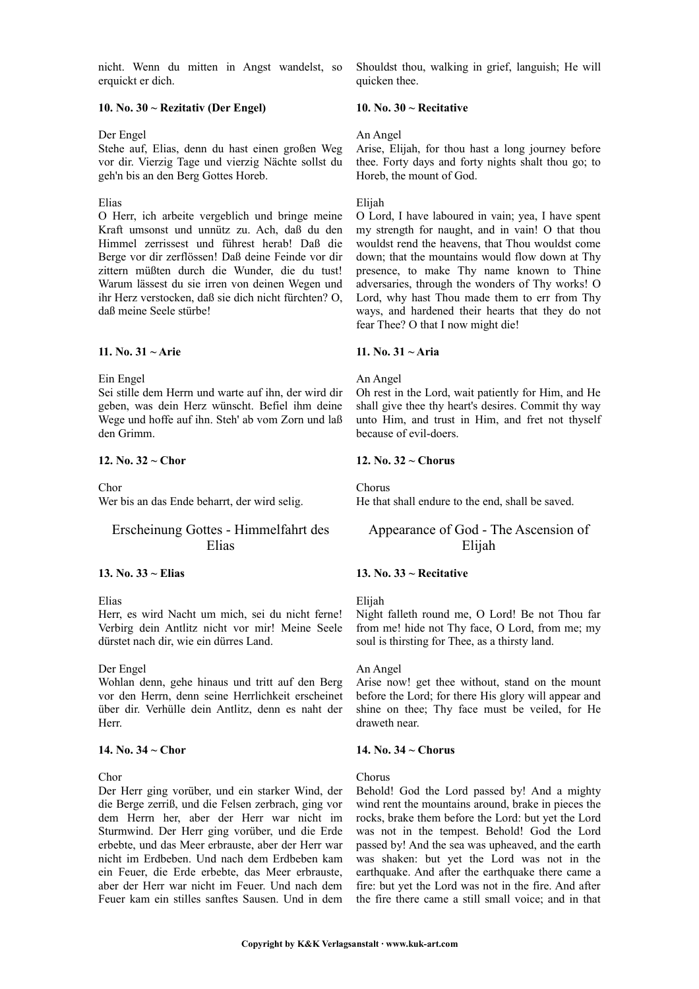nicht. Wenn du mitten in Angst wandelst, so erquickt er dich.

# **10. No. 30 ~ Rezitativ (Der Engel)**

#### Der Engel

Stehe auf, Elias, denn du hast einen großen Weg vor dir. Vierzig Tage und vierzig Nächte sollst du geh'n bis an den Berg Gottes Horeb.

Elias

O Herr, ich arbeite vergeblich und bringe meine Kraft umsonst und unnütz zu. Ach, daß du den Himmel zerrissest und führest herab! Daß die Berge vor dir zerflössen! Daß deine Feinde vor dir zittern müßten durch die Wunder, die du tust! Warum lässest du sie irren von deinen Wegen und ihr Herz verstocken, daß sie dich nicht fürchten? O, daß meine Seele stürbe!

#### **11. No. 31 ~ Arie**

Ein Engel

Sei stille dem Herrn und warte auf ihn, der wird dir geben, was dein Herz wünscht. Befiel ihm deine Wege und hoffe auf ihn. Steh' ab vom Zorn und laß den Grimm.

# **12. No. 32 ~ Chor**

Chor

Wer bis an das Ende beharrt, der wird selig.

# Erscheinung Gottes - Himmelfahrt des Elias

## **13. No. 33 ~ Elias**

Elias

Herr, es wird Nacht um mich, sei du nicht ferne! Verbirg dein Antlitz nicht vor mir! Meine Seele dürstet nach dir, wie ein dürres Land.

Der Engel

Wohlan denn, gehe hinaus und tritt auf den Berg vor den Herrn, denn seine Herrlichkeit erscheinet über dir. Verhülle dein Antlitz, denn es naht der Herr.

#### **14. No. 34 ~ Chor**

Chor

Der Herr ging vorüber, und ein starker Wind, der die Berge zerriß, und die Felsen zerbrach, ging vor dem Herrn her, aber der Herr war nicht im Sturmwind. Der Herr ging vorüber, und die Erde erbebte, und das Meer erbrauste, aber der Herr war nicht im Erdbeben. Und nach dem Erdbeben kam ein Feuer, die Erde erbebte, das Meer erbrauste, aber der Herr war nicht im Feuer. Und nach dem Feuer kam ein stilles sanftes Sausen. Und in dem Shouldst thou, walking in grief, languish; He will quicken thee.

### **10. No. 30 ~ Recitative**

#### An Angel

Arise, Elijah, for thou hast a long journey before thee. Forty days and forty nights shalt thou go; to Horeb, the mount of God.

#### Elijah

O Lord, I have laboured in vain; yea, I have spent my strength for naught, and in vain! O that thou wouldst rend the heavens, that Thou wouldst come down; that the mountains would flow down at Thy presence, to make Thy name known to Thine adversaries, through the wonders of Thy works! O Lord, why hast Thou made them to err from Thy ways, and hardened their hearts that they do not fear Thee? O that I now might die!

#### **11. No. 31 ~ Aria**

#### An Angel

Oh rest in the Lord, wait patiently for Him, and He shall give thee thy heart's desires. Commit thy way unto Him, and trust in Him, and fret not thyself because of evil-doers.

# **12. No. 32 ~ Chorus**

Chorus

He that shall endure to the end, shall be saved.

# Appearance of God - The Ascension of Elijah

# **13. No. 33 ~ Recitative**

Elijah

Night falleth round me, O Lord! Be not Thou far from me! hide not Thy face, O Lord, from me; my soul is thirsting for Thee, as a thirsty land.

# An Angel

Arise now! get thee without, stand on the mount before the Lord; for there His glory will appear and shine on thee; Thy face must be veiled, for He draweth near.

# **14. No. 34 ~ Chorus**

#### Chorus

Behold! God the Lord passed by! And a mighty wind rent the mountains around, brake in pieces the rocks, brake them before the Lord: but yet the Lord was not in the tempest. Behold! God the Lord passed by! And the sea was upheaved, and the earth was shaken: but yet the Lord was not in the earthquake. And after the earthquake there came a fire: but yet the Lord was not in the fire. And after the fire there came a still small voice; and in that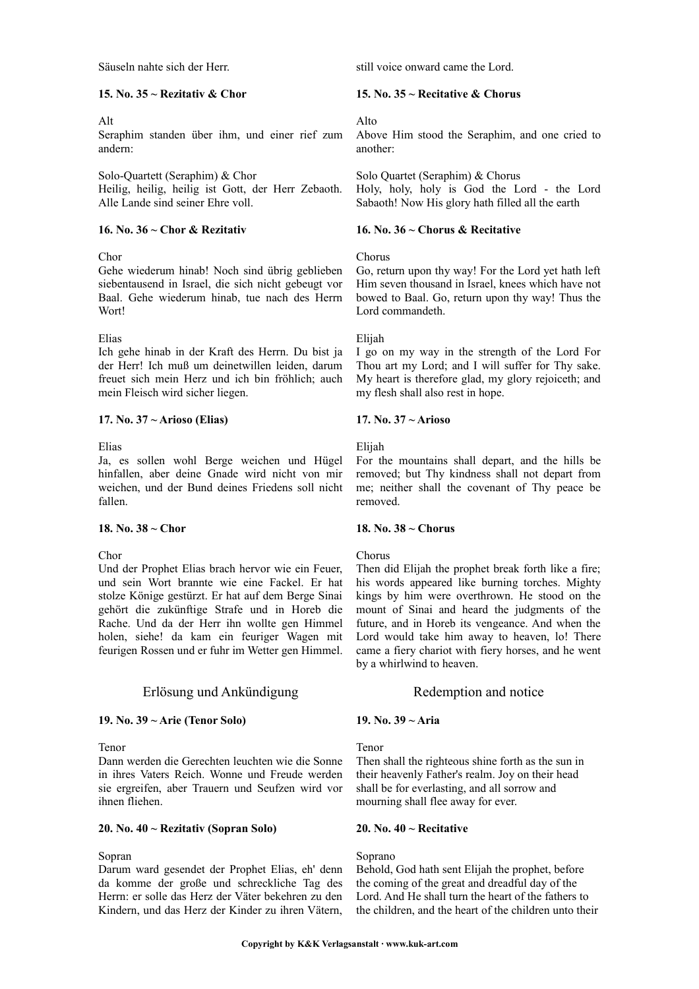Säuseln nahte sich der Herr.

#### **15. No. 35 ~ Rezitativ & Chor**

#### Alt

Seraphim standen über ihm, und einer rief zum andern:

Solo-Quartett (Seraphim) & Chor Heilig, heilig, heilig ist Gott, der Herr Zebaoth. Alle Lande sind seiner Ehre voll.

#### **16. No. 36 ~ Chor & Rezitativ**

# Chor

Gehe wiederum hinab! Noch sind übrig geblieben siebentausend in Israel, die sich nicht gebeugt vor Baal. Gehe wiederum hinab, tue nach des Herrn Wort!

# Elias

Ich gehe hinab in der Kraft des Herrn. Du bist ja der Herr! Ich muß um deinetwillen leiden, darum freuet sich mein Herz und ich bin fröhlich; auch mein Fleisch wird sicher liegen.

# **17. No. 37 ~ Arioso (Elias)**

Elias

Ja, es sollen wohl Berge weichen und Hügel hinfallen, aber deine Gnade wird nicht von mir weichen, und der Bund deines Friedens soll nicht fallen.

# **18. No. 38 ~ Chor**

Chor

Und der Prophet Elias brach hervor wie ein Feuer, und sein Wort brannte wie eine Fackel. Er hat stolze Könige gestürzt. Er hat auf dem Berge Sinai gehört die zukünftige Strafe und in Horeb die Rache. Und da der Herr ihn wollte gen Himmel holen, siehe! da kam ein feuriger Wagen mit feurigen Rossen und er fuhr im Wetter gen Himmel.

# Erlösung und Ankündigung Redemption and notice

# **19. No. 39 ~ Arie (Tenor Solo)**

#### Tenor

Dann werden die Gerechten leuchten wie die Sonne in ihres Vaters Reich. Wonne und Freude werden sie ergreifen, aber Trauern und Seufzen wird vor ihnen fliehen.

#### **20. No. 40 ~ Rezitativ (Sopran Solo)**

#### Sopran

Darum ward gesendet der Prophet Elias, eh' denn da komme der große und schreckliche Tag des Herrn: er solle das Herz der Väter bekehren zu den Kindern, und das Herz der Kinder zu ihren Vätern,

still voice onward came the Lord.

# **15. No. 35 ~ Recitative & Chorus**

# Alto

Above Him stood the Seraphim, and one cried to another:

Solo Quartet (Seraphim) & Chorus Holy, holy, holy is God the Lord - the Lord Sabaoth! Now His glory hath filled all the earth

## **16. No. 36 ~ Chorus & Recitative**

#### Chorus

Go, return upon thy way! For the Lord yet hath left Him seven thousand in Israel, knees which have not bowed to Baal. Go, return upon thy way! Thus the Lord commandeth.

#### Elijah

I go on my way in the strength of the Lord For Thou art my Lord; and I will suffer for Thy sake. My heart is therefore glad, my glory rejoiceth; and my flesh shall also rest in hope.

# **17. No. 37 ~ Arioso**

Elijah

For the mountains shall depart, and the hills be removed; but Thy kindness shall not depart from me; neither shall the covenant of Thy peace be removed.

# **18. No. 38 ~ Chorus**

# Chorus

Then did Elijah the prophet break forth like a fire; his words appeared like burning torches. Mighty kings by him were overthrown. He stood on the mount of Sinai and heard the judgments of the future, and in Horeb its vengeance. And when the Lord would take him away to heaven, lo! There came a fiery chariot with fiery horses, and he went by a whirlwind to heaven.

# **19. No. 39 ~ Aria**

Tenor

Then shall the righteous shine forth as the sun in their heavenly Father's realm. Joy on their head shall be for everlasting, and all sorrow and mourning shall flee away for ever.

#### **20. No. 40 ~ Recitative**

#### Soprano

Behold, God hath sent Elijah the prophet, before the coming of the great and dreadful day of the Lord. And He shall turn the heart of the fathers to the children, and the heart of the children unto their